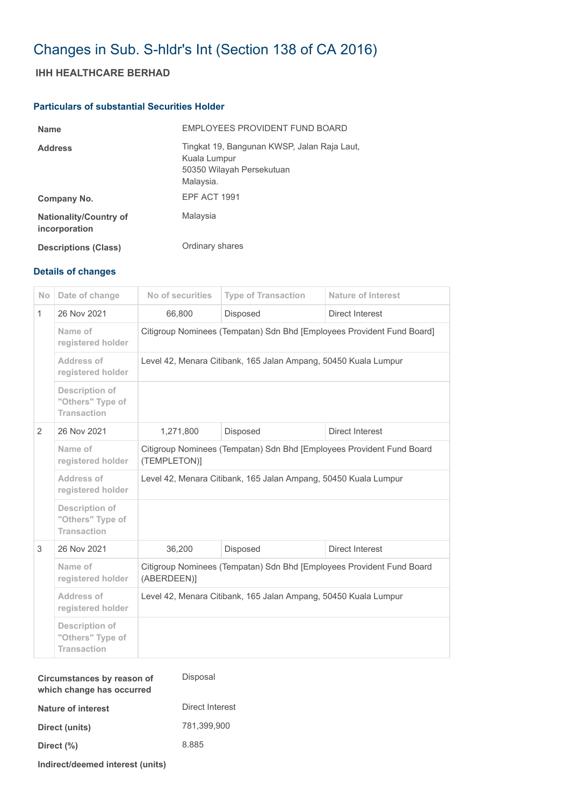## Changes in Sub. S-hldr's Int (Section 138 of CA 2016)

## **IHH HEALTHCARE BERHAD**

## **Particulars of substantial Securities Holder**

| <b>Name</b>                                    | EMPLOYEES PROVIDENT FUND BOARD                                                                        |
|------------------------------------------------|-------------------------------------------------------------------------------------------------------|
| <b>Address</b>                                 | Tingkat 19, Bangunan KWSP, Jalan Raja Laut,<br>Kuala Lumpur<br>50350 Wilayah Persekutuan<br>Malaysia. |
| Company No.                                    | EPF ACT 1991                                                                                          |
| <b>Nationality/Country of</b><br>incorporation | Malaysia                                                                                              |
| <b>Descriptions (Class)</b>                    | Ordinary shares                                                                                       |

## **Details of changes**

| No             | Date of change                                                  | No of securities                                                                      | <b>Type of Transaction</b> | <b>Nature of Interest</b> |  |  |
|----------------|-----------------------------------------------------------------|---------------------------------------------------------------------------------------|----------------------------|---------------------------|--|--|
| $\mathbf{1}$   | 26 Nov 2021                                                     | 66,800                                                                                | Disposed                   | Direct Interest           |  |  |
|                | Name of<br>registered holder                                    | Citigroup Nominees (Tempatan) Sdn Bhd [Employees Provident Fund Board]                |                            |                           |  |  |
|                | Address of<br>registered holder                                 | Level 42, Menara Citibank, 165 Jalan Ampang, 50450 Kuala Lumpur                       |                            |                           |  |  |
|                | <b>Description of</b><br>"Others" Type of<br><b>Transaction</b> |                                                                                       |                            |                           |  |  |
| $\overline{2}$ | 26 Nov 2021                                                     | 1,271,800                                                                             | <b>Disposed</b>            | Direct Interest           |  |  |
|                | Name of<br>registered holder                                    | Citigroup Nominees (Tempatan) Sdn Bhd [Employees Provident Fund Board<br>(TEMPLETON)] |                            |                           |  |  |
|                | Address of<br>registered holder                                 | Level 42, Menara Citibank, 165 Jalan Ampang, 50450 Kuala Lumpur                       |                            |                           |  |  |
|                | <b>Description of</b><br>"Others" Type of<br><b>Transaction</b> |                                                                                       |                            |                           |  |  |
| 3              | 26 Nov 2021                                                     | 36,200                                                                                | <b>Disposed</b>            | Direct Interest           |  |  |
|                | Name of<br>registered holder                                    | Citigroup Nominees (Tempatan) Sdn Bhd [Employees Provident Fund Board<br>(ABERDEEN)]  |                            |                           |  |  |
|                | Address of<br>registered holder                                 | Level 42, Menara Citibank, 165 Jalan Ampang, 50450 Kuala Lumpur                       |                            |                           |  |  |
|                | Description of<br>"Others" Type of<br><b>Transaction</b>        |                                                                                       |                            |                           |  |  |

| Circumstances by reason of<br>which change has occurred | Disposal        |  |  |
|---------------------------------------------------------|-----------------|--|--|
| Nature of interest                                      | Direct Interest |  |  |
| Direct (units)                                          | 781.399.900     |  |  |
| Direct (%)                                              | 8.885           |  |  |
|                                                         |                 |  |  |

**Indirect/deemed interest (units)**